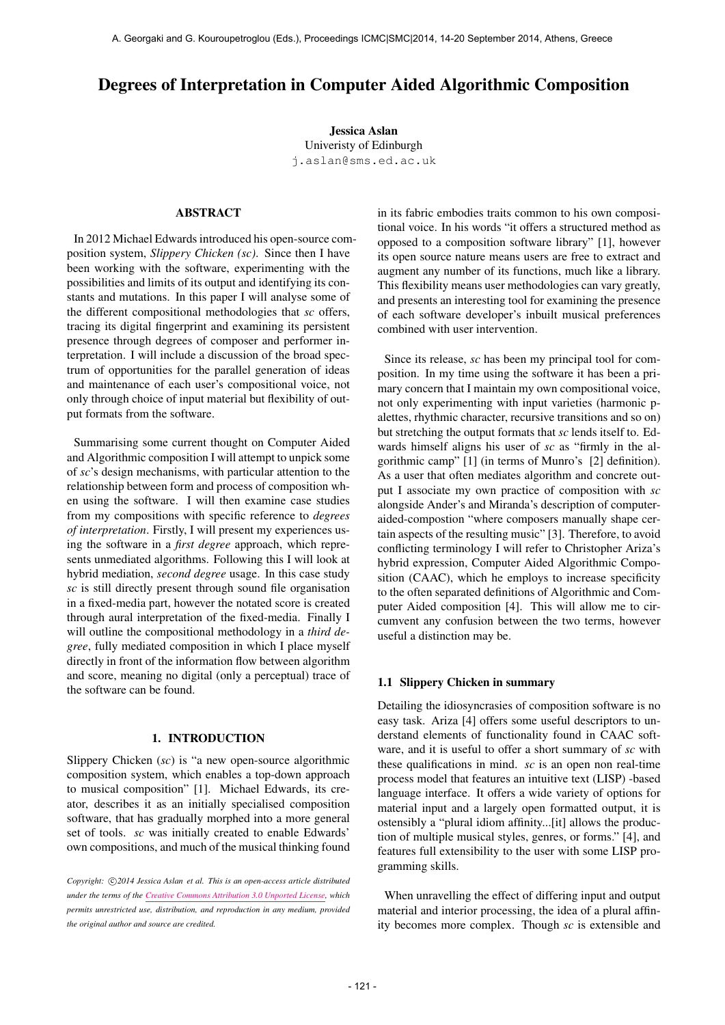# Degrees of Interpretation in Computer Aided Algorithmic Composition

Jessica Aslan Univeristy of Edinburgh [j.aslan@sms.ed.ac.uk](mailto:j.aslan@sms.ed.ac.uk)

# ABSTRACT

In 2012 Michael Edwards introduced his open-source composition system, *Slippery Chicken (sc)*. Since then I have been working with the software, experimenting with the possibilities and limits of its output and identifying its constants and mutations. In this paper I will analyse some of the different compositional methodologies that *sc* offers, tracing its digital fingerprint and examining its persistent presence through degrees of composer and performer interpretation. I will include a discussion of the broad spectrum of opportunities for the parallel generation of ideas and maintenance of each user's compositional voice, not only through choice of input material but flexibility of output formats from the software.

Summarising some current thought on Computer Aided and Algorithmic composition I will attempt to unpick some of *sc*'s design mechanisms, with particular attention to the relationship between form and process of composition when using the software. I will then examine case studies from my compositions with specific reference to *degrees of interpretation*. Firstly, I will present my experiences using the software in a *first degree* approach, which represents unmediated algorithms. Following this I will look at hybrid mediation, *second degree* usage. In this case study *sc* is still directly present through sound file organisation in a fixed-media part, however the notated score is created through aural interpretation of the fixed-media. Finally I will outline the compositional methodology in a *third degree*, fully mediated composition in which I place myself directly in front of the information flow between algorithm and score, meaning no digital (only a perceptual) trace of the software can be found.

### 1. INTRODUCTION

Slippery Chicken (*sc*) is "a new open-source algorithmic composition system, which enables a top-down approach to musical composition" [1]. Michael Edwards, its creator, describes it as an initially specialised composition software, that has gradually morphed into a more general set of tools. *sc* was initially created to enable Edwards' own compositions, and much of the musical thinking found in its fabric embodies traits common to his own compositional voice. In his words "it offers a structured method as opposed to a composition software library" [1], however its open source nature means users are free to extract and augment any number of its functions, much like a library. This flexibility means user methodologies can vary greatly, and presents an interesting tool for examining the presence of each software developer's inbuilt musical preferences combined with user intervention.

Since its release, *sc* has been my principal tool for composition. In my time using the software it has been a primary concern that I maintain my own compositional voice, not only experimenting with input varieties (harmonic palettes, rhythmic character, recursive transitions and so on) but stretching the output formats that *sc* lends itself to. Edwards himself aligns his user of *sc* as "firmly in the algorithmic camp" [1] (in terms of Munro's [2] definition). As a user that often mediates algorithm and concrete output I associate my own practice of composition with *sc* alongside Ander's and Miranda's description of computeraided-compostion "where composers manually shape certain aspects of the resulting music" [3]. Therefore, to avoid conflicting terminology I will refer to Christopher Ariza's hybrid expression, Computer Aided Algorithmic Composition (CAAC), which he employs to increase specificity to the often separated definitions of Algorithmic and Computer Aided composition [4]. This will allow me to circumvent any confusion between the two terms, however useful a distinction may be.

#### 1.1 Slippery Chicken in summary

Detailing the idiosyncrasies of composition software is no easy task. Ariza [4] offers some useful descriptors to understand elements of functionality found in CAAC software, and it is useful to offer a short summary of *sc* with these qualifications in mind. *sc* is an open non real-time process model that features an intuitive text (LISP) -based language interface. It offers a wide variety of options for material input and a largely open formatted output, it is ostensibly a "plural idiom affinity...[it] allows the production of multiple musical styles, genres, or forms." [4], and features full extensibility to the user with some LISP programming skills.

When unravelling the effect of differing input and output material and interior processing, the idea of a plural affinity becomes more complex. Though *sc* is extensible and

Copyright:  $\bigcirc$ 2014 Jessica Aslan et al. This is an open-access article distributed *under the terms of the [Creative Commons Attribution 3.0 Unported License,](http://creativecommons.org/licenses/by/3.0/) which permits unrestricted use, distribution, and reproduction in any medium, provided the original author and source are credited.*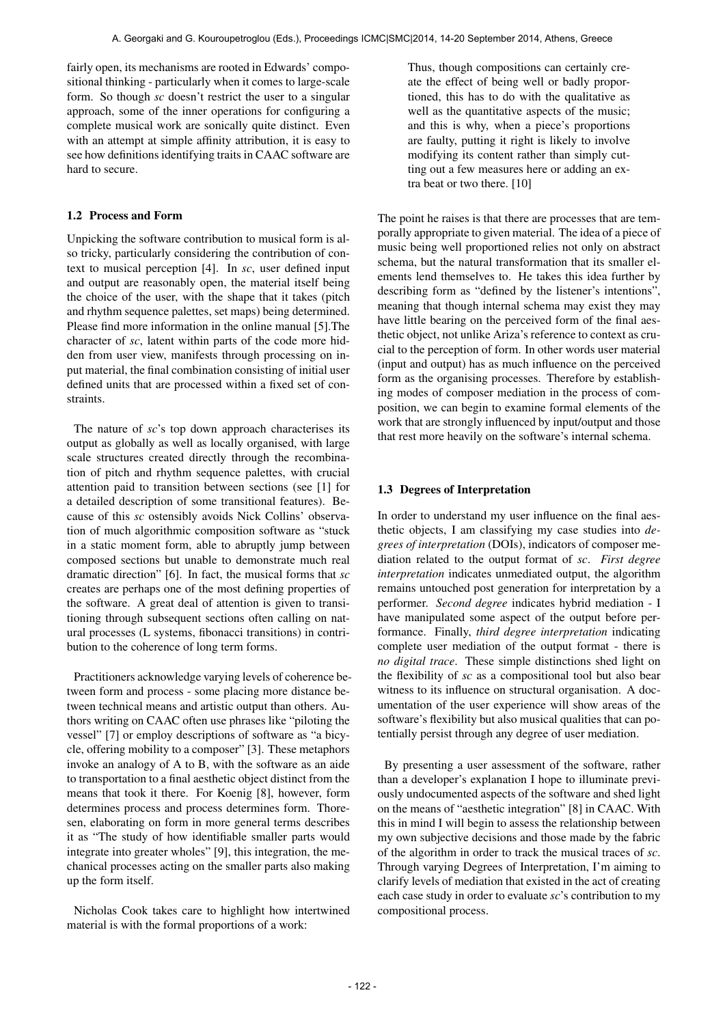fairly open, its mechanisms are rooted in Edwards' compositional thinking - particularly when it comes to large-scale form. So though *sc* doesn't restrict the user to a singular approach, some of the inner operations for configuring a complete musical work are sonically quite distinct. Even with an attempt at simple affinity attribution, it is easy to see how definitions identifying traits in CAAC software are hard to secure.

## 1.2 Process and Form

Unpicking the software contribution to musical form is also tricky, particularly considering the contribution of context to musical perception [4]. In *sc*, user defined input and output are reasonably open, the material itself being the choice of the user, with the shape that it takes (pitch and rhythm sequence palettes, set maps) being determined. Please find more information in the online manual [5].The character of *sc*, latent within parts of the code more hidden from user view, manifests through processing on input material, the final combination consisting of initial user defined units that are processed within a fixed set of constraints.

The nature of *sc*'s top down approach characterises its output as globally as well as locally organised, with large scale structures created directly through the recombination of pitch and rhythm sequence palettes, with crucial attention paid to transition between sections (see [1] for a detailed description of some transitional features). Because of this *sc* ostensibly avoids Nick Collins' observation of much algorithmic composition software as "stuck in a static moment form, able to abruptly jump between composed sections but unable to demonstrate much real dramatic direction" [6]. In fact, the musical forms that *sc* creates are perhaps one of the most defining properties of the software. A great deal of attention is given to transitioning through subsequent sections often calling on natural processes (L systems, fibonacci transitions) in contribution to the coherence of long term forms.

Practitioners acknowledge varying levels of coherence between form and process - some placing more distance between technical means and artistic output than others. Authors writing on CAAC often use phrases like "piloting the vessel" [7] or employ descriptions of software as "a bicycle, offering mobility to a composer" [3]. These metaphors invoke an analogy of A to B, with the software as an aide to transportation to a final aesthetic object distinct from the means that took it there. For Koenig [8], however, form determines process and process determines form. Thoresen, elaborating on form in more general terms describes it as "The study of how identifiable smaller parts would integrate into greater wholes" [9], this integration, the mechanical processes acting on the smaller parts also making up the form itself.

Nicholas Cook takes care to highlight how intertwined material is with the formal proportions of a work:

Thus, though compositions can certainly create the effect of being well or badly proportioned, this has to do with the qualitative as well as the quantitative aspects of the music; and this is why, when a piece's proportions are faulty, putting it right is likely to involve modifying its content rather than simply cutting out a few measures here or adding an extra beat or two there. [10]

The point he raises is that there are processes that are temporally appropriate to given material. The idea of a piece of music being well proportioned relies not only on abstract schema, but the natural transformation that its smaller elements lend themselves to. He takes this idea further by describing form as "defined by the listener's intentions", meaning that though internal schema may exist they may have little bearing on the perceived form of the final aesthetic object, not unlike Ariza's reference to context as crucial to the perception of form. In other words user material (input and output) has as much influence on the perceived form as the organising processes. Therefore by establishing modes of composer mediation in the process of composition, we can begin to examine formal elements of the work that are strongly influenced by input/output and those that rest more heavily on the software's internal schema.

## 1.3 Degrees of Interpretation

In order to understand my user influence on the final aesthetic objects, I am classifying my case studies into *degrees of interpretation* (DOIs), indicators of composer mediation related to the output format of *sc*. *First degree interpretation* indicates unmediated output, the algorithm remains untouched post generation for interpretation by a performer. *Second degree* indicates hybrid mediation - I have manipulated some aspect of the output before performance. Finally, *third degree interpretation* indicating complete user mediation of the output format - there is *no digital trace*. These simple distinctions shed light on the flexibility of *sc* as a compositional tool but also bear witness to its influence on structural organisation. A documentation of the user experience will show areas of the software's flexibility but also musical qualities that can potentially persist through any degree of user mediation.

By presenting a user assessment of the software, rather than a developer's explanation I hope to illuminate previously undocumented aspects of the software and shed light on the means of "aesthetic integration" [8] in CAAC. With this in mind I will begin to assess the relationship between my own subjective decisions and those made by the fabric of the algorithm in order to track the musical traces of *sc*. Through varying Degrees of Interpretation, I'm aiming to clarify levels of mediation that existed in the act of creating each case study in order to evaluate *sc*'s contribution to my compositional process.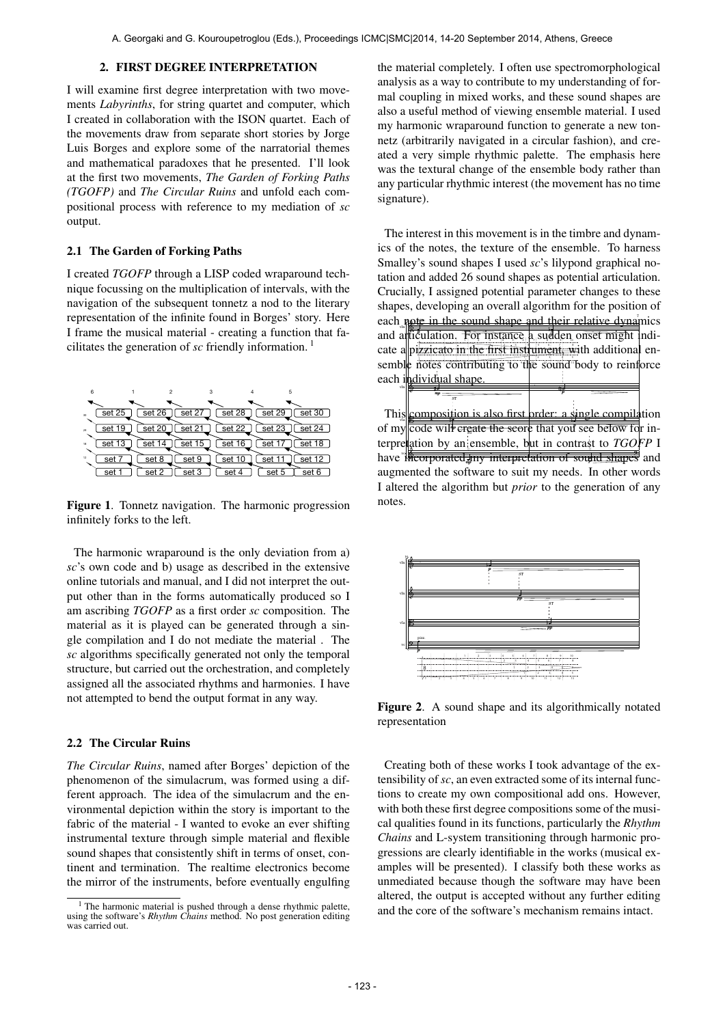vln

ST ī mp Ŧ

#### 2. FIRST DEGREE INTERPRETATION

I will examine first degree interpretation with two movements *Labyrinths*, for string quartet and computer, which I created in collaboration with the ISON quartet. Each of the movements draw from separate short stories by Jorge Luis Borges and explore some of the narratorial themes and mathematical paradoxes that he presented. I'll look at the first two movements, *The Garden of Forking Paths (TGOFP)* and *The Circular Ruins* and unfold each compositional process with reference to my mediation of *sc* output.

### 2.1 The Garden of Forking Paths

I created *TGOFP* through a LISP coded wraparound technique focussing on the multiplication of intervals, with the navigation of the subsequent tonnetz a nod to the literary representation of the infinite found in Borges' story. Here I frame the musical material - creating a function that facilitates the generation of *sc* friendly information. 1

| 6       |        |        |        | 3      | 5       |                     |
|---------|--------|--------|--------|--------|---------|---------------------|
|         |        |        |        |        |         |                     |
| an      | set 25 | set 26 | set 27 | set 28 | set 29  | set 30              |
|         | set 19 | set 20 | set 21 | set 22 | set 23  | set 24              |
| $^{24}$ |        |        |        |        |         |                     |
| 18      | set 13 | set 14 | set 15 | set 16 | set 17  | set 18              |
| 12      |        |        |        |        |         |                     |
|         | set 7  | set 8  | set 9  | set 10 | set 11  | set $\overline{12}$ |
|         | set    | set 2  | set 3  | set 4  | set $5$ | set 6               |

Figure 1. Tonnetz navigation. The harmonic progression infinitely forks to the left.

The harmonic wraparound is the only deviation from a) *sc*'s own code and b) usage as described in the extensive online tutorials and manual, and I did not interpret the output other than in the forms automatically produced so I am ascribing *TGOFP* as a first order *sc* composition. The material as it is played can be generated through a single compilation and I do not mediate the material . The *sc* algorithms specifically generated not only the temporal structure, but carried out the orchestration, and completely assigned all the associated rhythms and harmonies. I have not attempted to bend the output format in any way.

## 2.2 The Circular Ruins

*The Circular Ruins*, named after Borges' depiction of the phenomenon of the simulacrum, was formed using a different approach. The idea of the simulacrum and the environmental depiction within the story is important to the fabric of the material - I wanted to evoke an ever shifting instrumental texture through simple material and flexible sound shapes that consistently shift in terms of onset, continent and termination. The realtime electronics become the mirror of the instruments, before eventually engulfing the material completely. I often use spectromorphological analysis as a way to contribute to my understanding of formal coupling in mixed works, and these sound shapes are also a useful method of viewing ensemble material. I used my harmonic wraparound function to generate a new tonnetz (arbitrarily navigated in a circular fashion), and created a very simple rhythmic palette. The emphasis here was the textural change of the ensemble body rather than any particular rhythmic interest (the movement has no time signature).

The interest in this movement is in the timbre and dynamics of the notes, the texture of the ensemble. To harness Smalley's sound shapes I used *sc*'s lilypond graphical notation and added 26 sound shapes as potential articulation. Crucially, I assigned potential parameter changes to these shapes, developing an overall algorithm for the position of each note in the sound shape and their relative dynamics and alticulation, For instance a sudden onset might indicate a pizzicato in the first instrument, with additional ensemble notes contributing to the sound body to reinforce each individual shape 6 -1 2 3 4 5 Ŧ ī

This composition is also first order: a single compilation of my code wil<del>l ereate the sco</del>re that you see below for interpretation by an ensemble, but in contrast to *TGOFP* I have me<del>corporated my interpretation of sound shapes</del> and augmented the software to suit my needs. In other words I altered the algorithm but *prior* to the generation of any notes. compositi vla ग्री

 p J



Figure 2. A sound shape and its algorithmically notated representation

Creating both of these works I took advantage of the extensibility of*sc*, an even extracted some of its internal functions to create my own compositional add ons. However, with both these first degree compositions some of the musical qualities found in its functions, particularly the *Rhythm Chains* and L-system transitioning through harmonic progressions are clearly identifiable in the works (musical examples will be presented). I classify both these works as unmediated because though the software may have been altered, the output is accepted without any further editing and the core of the software's mechanism remains intact.

<sup>&</sup>lt;sup>1</sup> The harmonic material is pushed through a dense rhythmic palette, using the software's *Rhythm Chains* method. No post generation editing was carried out.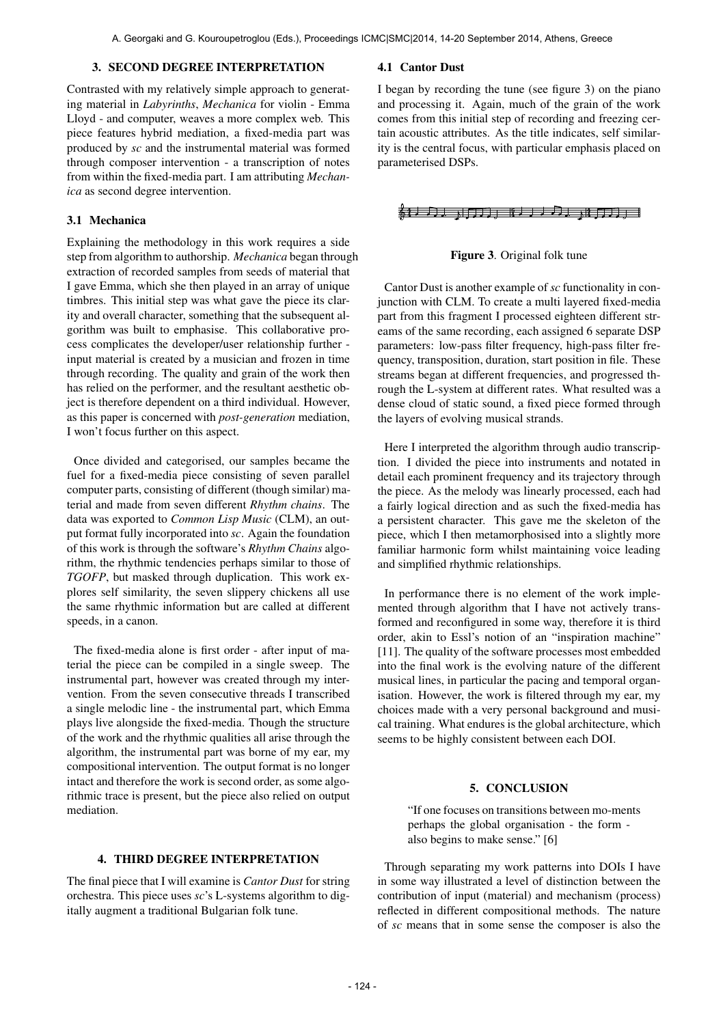## 3. SECOND DEGREE INTERPRETATION

Contrasted with my relatively simple approach to generating material in *Labyrinths*, *Mechanica* for violin - Emma Lloyd - and computer, weaves a more complex web. This piece features hybrid mediation, a fixed-media part was produced by *sc* and the instrumental material was formed through composer intervention - a transcription of notes from within the fixed-media part. I am attributing *Mechanica* as second degree intervention.

## 3.1 Mechanica

Explaining the methodology in this work requires a side step from algorithm to authorship. *Mechanica* began through extraction of recorded samples from seeds of material that I gave Emma, which she then played in an array of unique timbres. This initial step was what gave the piece its clarity and overall character, something that the subsequent algorithm was built to emphasise. This collaborative process complicates the developer/user relationship further input material is created by a musician and frozen in time through recording. The quality and grain of the work then has relied on the performer, and the resultant aesthetic object is therefore dependent on a third individual. However, as this paper is concerned with *post-generation* mediation, I won't focus further on this aspect.

Once divided and categorised, our samples became the fuel for a fixed-media piece consisting of seven parallel computer parts, consisting of different (though similar) material and made from seven different *Rhythm chains*. The data was exported to *Common Lisp Music* (CLM), an output format fully incorporated into *sc*. Again the foundation of this work is through the software's *Rhythm Chains* algorithm, the rhythmic tendencies perhaps similar to those of *TGOFP*, but masked through duplication. This work explores self similarity, the seven slippery chickens all use the same rhythmic information but are called at different speeds, in a canon.

The fixed-media alone is first order - after input of material the piece can be compiled in a single sweep. The instrumental part, however was created through my intervention. From the seven consecutive threads I transcribed a single melodic line - the instrumental part, which Emma plays live alongside the fixed-media. Though the structure of the work and the rhythmic qualities all arise through the algorithm, the instrumental part was borne of my ear, my compositional intervention. The output format is no longer intact and therefore the work is second order, as some algorithmic trace is present, but the piece also relied on output mediation.

# 4. THIRD DEGREE INTERPRETATION

The final piece that I will examine is *Cantor Dust* for string orchestra. This piece uses *sc*'s L-systems algorithm to digitally augment a traditional Bulgarian folk tune.

#### 4.1 Cantor Dust

I began by recording the tune (see figure 3) on the piano and processing it. Again, much of the grain of the work comes from this initial step of recording and freezing certain acoustic attributes. As the title indicates, self similarity is the central focus, with particular emphasis placed on parameterised DSPs.

## <del>《1)月】、门刀</del>」 10.1.1.月,11.5万

#### Figure 3. Original folk tune

Cantor Dust is another example of *sc* functionality in conjunction with CLM. To create a multi layered fixed-media part from this fragment I processed eighteen different streams of the same recording, each assigned 6 separate DSP parameters: low-pass filter frequency, high-pass filter frequency, transposition, duration, start position in file. These streams began at different frequencies, and progressed through the L-system at different rates. What resulted was a dense cloud of static sound, a fixed piece formed through the layers of evolving musical strands.

Here I interpreted the algorithm through audio transcription. I divided the piece into instruments and notated in detail each prominent frequency and its trajectory through the piece. As the melody was linearly processed, each had a fairly logical direction and as such the fixed-media has a persistent character. This gave me the skeleton of the piece, which I then metamorphosised into a slightly more familiar harmonic form whilst maintaining voice leading and simplified rhythmic relationships.

In performance there is no element of the work implemented through algorithm that I have not actively transformed and reconfigured in some way, therefore it is third order, akin to Essl's notion of an "inspiration machine" [11]. The quality of the software processes most embedded into the final work is the evolving nature of the different musical lines, in particular the pacing and temporal organisation. However, the work is filtered through my ear, my choices made with a very personal background and musical training. What endures is the global architecture, which seems to be highly consistent between each DOI.

## 5. CONCLUSION

"If one focuses on transitions between mo-ments perhaps the global organisation - the form also begins to make sense." [6]

Through separating my work patterns into DOIs I have in some way illustrated a level of distinction between the contribution of input (material) and mechanism (process) reflected in different compositional methods. The nature of *sc* means that in some sense the composer is also the